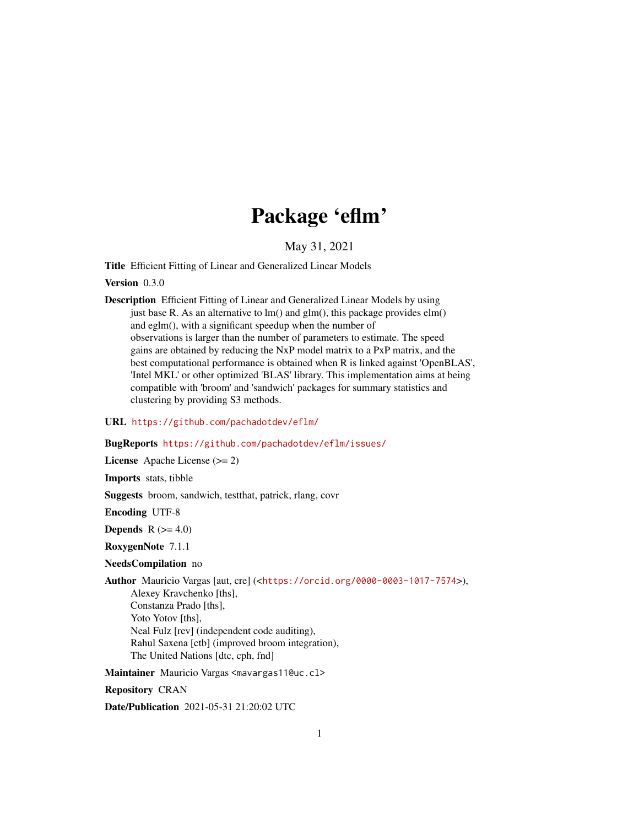## Package 'eflm'

May 31, 2021

<span id="page-0-0"></span>Title Efficient Fitting of Linear and Generalized Linear Models

Version 0.3.0

Description Efficient Fitting of Linear and Generalized Linear Models by using just base R. As an alternative to lm() and glm(), this package provides elm() and eglm(), with a significant speedup when the number of observations is larger than the number of parameters to estimate. The speed gains are obtained by reducing the NxP model matrix to a PxP matrix, and the best computational performance is obtained when R is linked against 'OpenBLAS', 'Intel MKL' or other optimized 'BLAS' library. This implementation aims at being compatible with 'broom' and 'sandwich' packages for summary statistics and clustering by providing S3 methods.

#### URL <https://github.com/pachadotdev/eflm/>

#### BugReports <https://github.com/pachadotdev/eflm/issues/>

License Apache License (>= 2)

Imports stats, tibble

Suggests broom, sandwich, testthat, patrick, rlang, covr

Encoding UTF-8

Depends  $R$  ( $>= 4.0$ )

RoxygenNote 7.1.1

#### NeedsCompilation no

Author Mauricio Vargas [aut, cre] (<<https://orcid.org/0000-0003-1017-7574>>), Alexey Kravchenko [ths], Constanza Prado [ths], Yoto Yotov [ths], Neal Fulz [rev] (independent code auditing), Rahul Saxena [ctb] (improved broom integration), The United Nations [dtc, cph, fnd]

Maintainer Mauricio Vargas <mavargas11@uc.cl>

Repository CRAN

Date/Publication 2021-05-31 21:20:02 UTC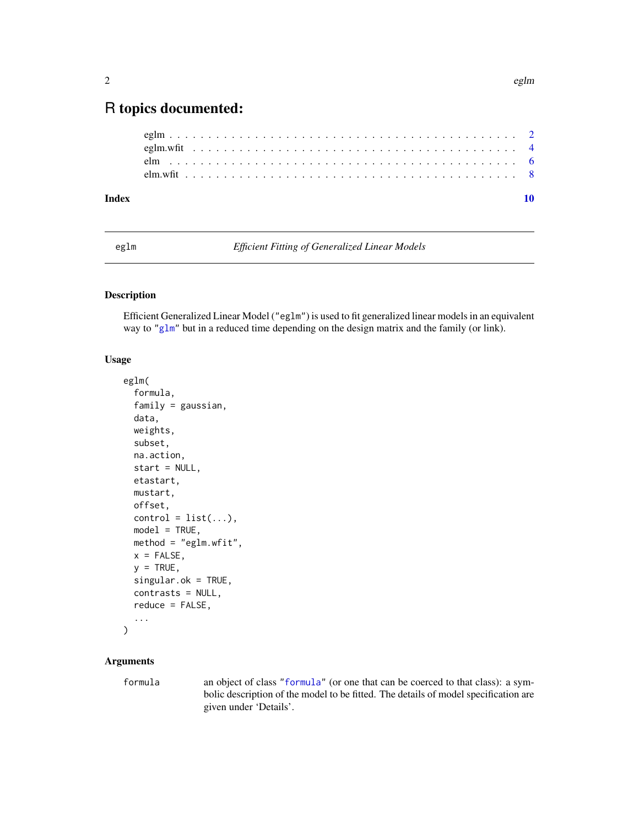### <span id="page-1-0"></span>R topics documented:

| Index |  |  |  |  |  |  |  |  |  |  |  |  |  |  |  |  |  |  |  |  |  |  |
|-------|--|--|--|--|--|--|--|--|--|--|--|--|--|--|--|--|--|--|--|--|--|--|
|       |  |  |  |  |  |  |  |  |  |  |  |  |  |  |  |  |  |  |  |  |  |  |
|       |  |  |  |  |  |  |  |  |  |  |  |  |  |  |  |  |  |  |  |  |  |  |
|       |  |  |  |  |  |  |  |  |  |  |  |  |  |  |  |  |  |  |  |  |  |  |
|       |  |  |  |  |  |  |  |  |  |  |  |  |  |  |  |  |  |  |  |  |  |  |

eglm *Efficient Fitting of Generalized Linear Models*

#### Description

Efficient Generalized Linear Model ("eglm") is used to fit generalized linear models in an equivalent way to ["glm"](#page-0-0) but in a reduced time depending on the design matrix and the family (or link).

#### Usage

```
eglm(
  formula,
  family = gaussian,
  data,
  weights,
  subset,
  na.action,
  start = NULL,
  etastart,
  mustart,
  offset,
  control = list(...),model = TRUE,method = "eglm.wfit",
  x = FALSE,
  y = TRUE,singular.ok = TRUE,
  contrasts = NULL,
  reduce = FALSE,...
)
```
#### Arguments

formula an object of class ["formula"](#page-0-0) (or one that can be coerced to that class): a symbolic description of the model to be fitted. The details of model specification are given under 'Details'.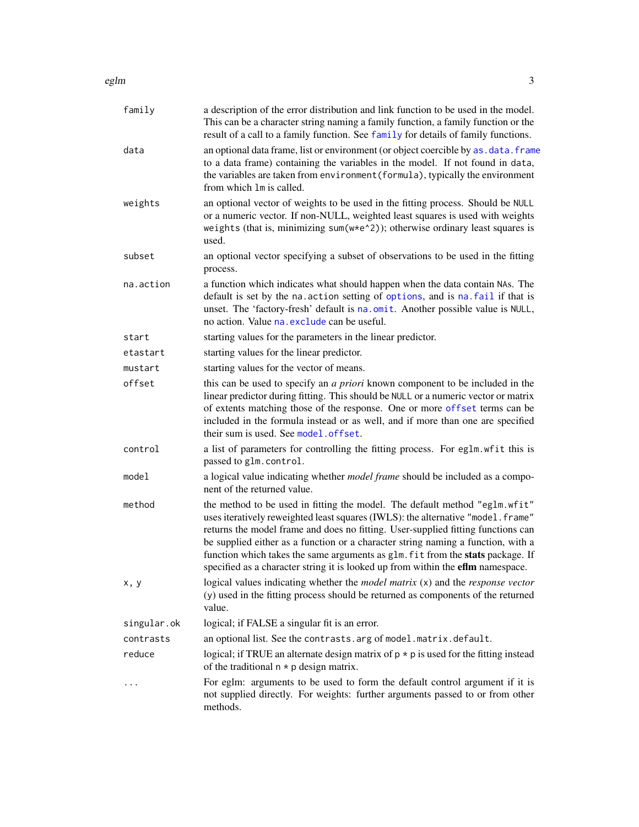#### <span id="page-2-0"></span>eglm 3

| family      | a description of the error distribution and link function to be used in the model.<br>This can be a character string naming a family function, a family function or the<br>result of a call to a family function. See family for details of family functions.                                                                                                                                                                                                                                               |
|-------------|-------------------------------------------------------------------------------------------------------------------------------------------------------------------------------------------------------------------------------------------------------------------------------------------------------------------------------------------------------------------------------------------------------------------------------------------------------------------------------------------------------------|
| data        | an optional data frame, list or environment (or object coercible by as . data. frame<br>to a data frame) containing the variables in the model. If not found in data,<br>the variables are taken from environment (formula), typically the environment<br>from which 1m is called.                                                                                                                                                                                                                          |
| weights     | an optional vector of weights to be used in the fitting process. Should be NULL<br>or a numeric vector. If non-NULL, weighted least squares is used with weights<br>weights (that is, minimizing sum(w*e^2)); otherwise ordinary least squares is<br>used.                                                                                                                                                                                                                                                  |
| subset      | an optional vector specifying a subset of observations to be used in the fitting<br>process.                                                                                                                                                                                                                                                                                                                                                                                                                |
| na.action   | a function which indicates what should happen when the data contain NAs. The<br>default is set by the na. action setting of options, and is na. fail if that is<br>unset. The 'factory-fresh' default is na.omit. Another possible value is NULL,<br>no action. Value na. exclude can be useful.                                                                                                                                                                                                            |
| start       | starting values for the parameters in the linear predictor.                                                                                                                                                                                                                                                                                                                                                                                                                                                 |
| etastart    | starting values for the linear predictor.                                                                                                                                                                                                                                                                                                                                                                                                                                                                   |
| mustart     | starting values for the vector of means.                                                                                                                                                                                                                                                                                                                                                                                                                                                                    |
| offset      | this can be used to specify an <i>a priori</i> known component to be included in the<br>linear predictor during fitting. This should be NULL or a numeric vector or matrix<br>of extents matching those of the response. One or more offset terms can be<br>included in the formula instead or as well, and if more than one are specified<br>their sum is used. See model.offset.                                                                                                                          |
| control     | a list of parameters for controlling the fitting process. For eglm. wfit this is<br>passed to glm. control.                                                                                                                                                                                                                                                                                                                                                                                                 |
| model       | a logical value indicating whether <i>model frame</i> should be included as a compo-<br>nent of the returned value.                                                                                                                                                                                                                                                                                                                                                                                         |
| method      | the method to be used in fitting the model. The default method "eglm.wfit"<br>uses iteratively reweighted least squares (IWLS): the alternative "model. frame"<br>returns the model frame and does no fitting. User-supplied fitting functions can<br>be supplied either as a function or a character string naming a function, with a<br>function which takes the same arguments as glm. fit from the stats package. If<br>specified as a character string it is looked up from within the eflm namespace. |
| x, y        | logical values indicating whether the <i>model matrix</i> $(x)$ and the <i>response vector</i><br>(y) used in the fitting process should be returned as components of the returned<br>value.                                                                                                                                                                                                                                                                                                                |
| singular.ok | logical; if FALSE a singular fit is an error.                                                                                                                                                                                                                                                                                                                                                                                                                                                               |
| contrasts   | an optional list. See the contrasts. arg of model. matrix. default.                                                                                                                                                                                                                                                                                                                                                                                                                                         |
| reduce      | logical; if TRUE an alternate design matrix of $p \star p$ is used for the fitting instead<br>of the traditional $n * p$ design matrix.                                                                                                                                                                                                                                                                                                                                                                     |
| .           | For eglm: arguments to be used to form the default control argument if it is<br>not supplied directly. For weights: further arguments passed to or from other<br>methods.                                                                                                                                                                                                                                                                                                                                   |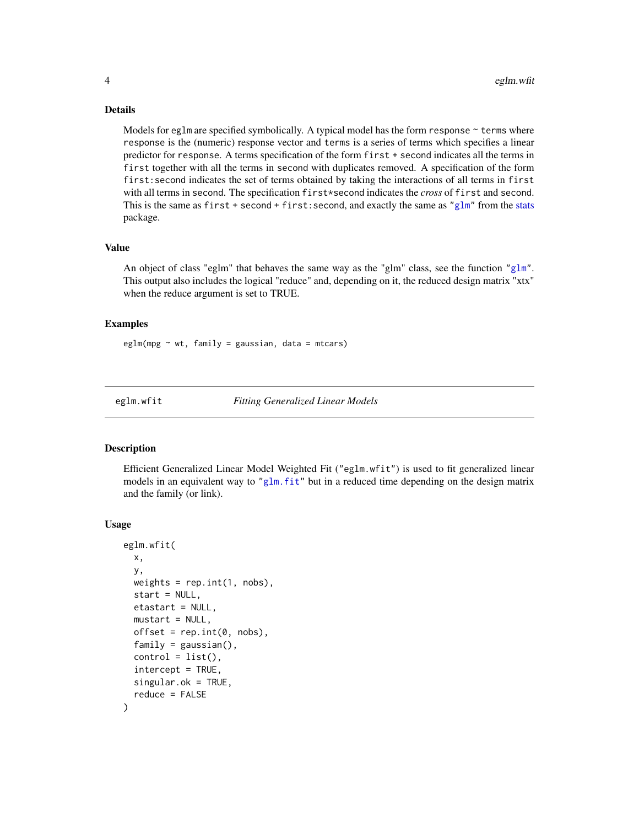#### Details

Models for eglm are specified symbolically. A typical model has the form response  $\sim$  terms where response is the (numeric) response vector and terms is a series of terms which specifies a linear predictor for response. A terms specification of the form first + second indicates all the terms in first together with all the terms in second with duplicates removed. A specification of the form first:second indicates the set of terms obtained by taking the interactions of all terms in first with all terms in second. The specification first\*second indicates the *cross* of first and second. This is the same as first + second + first: second, and exactly the same as ["glm"](#page-0-0) from the [stats](#page-0-0) package.

#### Value

An object of class "eglm" that behaves the same way as the "glm" class, see the function ["glm"](#page-0-0). This output also includes the logical "reduce" and, depending on it, the reduced design matrix "xtx" when the reduce argument is set to TRUE.

#### Examples

 $eglm(mpg \sim wt, family = gaussian, data = mtcars)$ 

eglm.wfit *Fitting Generalized Linear Models*

#### Description

Efficient Generalized Linear Model Weighted Fit ("eglm.wfit") is used to fit generalized linear models in an equivalent way to ["glm.fit"](#page-0-0) but in a reduced time depending on the design matrix and the family (or link).

#### Usage

```
eglm.wfit(
 x,
 y,
 weights = rep.int(1, nobs),
  start = NULL,etastart = NULL,
  mustart = NULL,offset = rep.int(0, nobs),family = gaussian(),
  control = list(),intercept = TRUE,
  singular.ok = TRUE,
  reduce = FALSE
)
```
<span id="page-3-0"></span>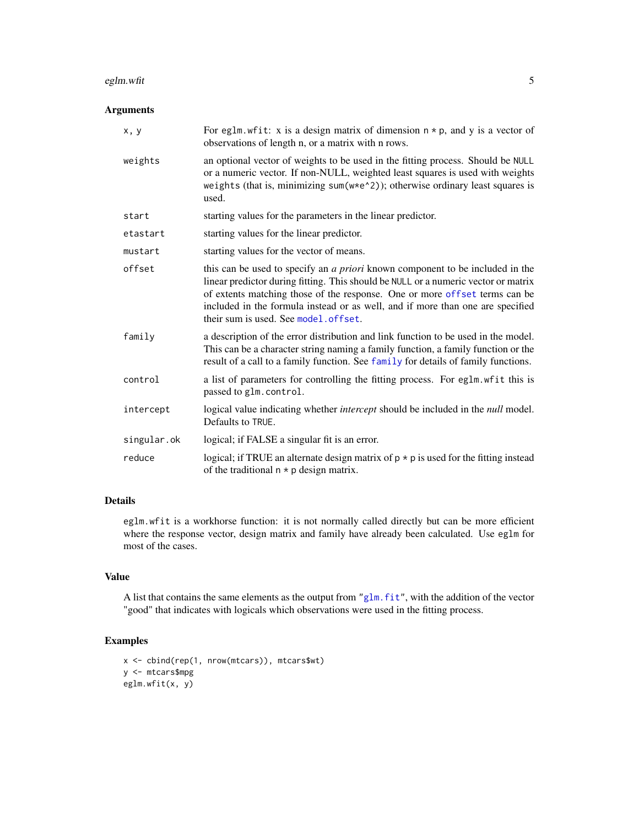#### <span id="page-4-0"></span>eglm.wfit 5

#### Arguments

| x, y        | For eglm. wfit: x is a design matrix of dimension $n * p$ , and y is a vector of<br>observations of length n, or a matrix with n rows.                                                                                                                                                                                                                                              |
|-------------|-------------------------------------------------------------------------------------------------------------------------------------------------------------------------------------------------------------------------------------------------------------------------------------------------------------------------------------------------------------------------------------|
| weights     | an optional vector of weights to be used in the fitting process. Should be NULL<br>or a numeric vector. If non-NULL, weighted least squares is used with weights<br>weights (that is, minimizing sum(w*e^2)); otherwise ordinary least squares is<br>used.                                                                                                                          |
| start       | starting values for the parameters in the linear predictor.                                                                                                                                                                                                                                                                                                                         |
| etastart    | starting values for the linear predictor.                                                                                                                                                                                                                                                                                                                                           |
| mustart     | starting values for the vector of means.                                                                                                                                                                                                                                                                                                                                            |
| offset      | this can be used to specify an <i>a priori</i> known component to be included in the<br>linear predictor during fitting. This should be NULL or a numeric vector or matrix<br>of extents matching those of the response. One or more offset terms can be<br>included in the formula instead or as well, and if more than one are specified<br>their sum is used. See model. offset. |
| family      | a description of the error distribution and link function to be used in the model.<br>This can be a character string naming a family function, a family function or the<br>result of a call to a family function. See family for details of family functions.                                                                                                                       |
| control     | a list of parameters for controlling the fitting process. For eglm. wfit this is<br>passed to glm. control.                                                                                                                                                                                                                                                                         |
| intercept   | logical value indicating whether <i>intercept</i> should be included in the <i>null</i> model.<br>Defaults to TRUE.                                                                                                                                                                                                                                                                 |
| singular.ok | logical; if FALSE a singular fit is an error.                                                                                                                                                                                                                                                                                                                                       |
| reduce      | logical; if TRUE an alternate design matrix of $p * p$ is used for the fitting instead<br>of the traditional $n * p$ design matrix.                                                                                                                                                                                                                                                 |

#### Details

eglm.wfit is a workhorse function: it is not normally called directly but can be more efficient where the response vector, design matrix and family have already been calculated. Use eglm for most of the cases.

#### Value

A list that contains the same elements as the output from ["glm.fit"](#page-0-0), with the addition of the vector "good" that indicates with logicals which observations were used in the fitting process.

#### Examples

```
x <- cbind(rep(1, nrow(mtcars)), mtcars$wt)
y <- mtcars$mpg
eglm.wfit(x, y)
```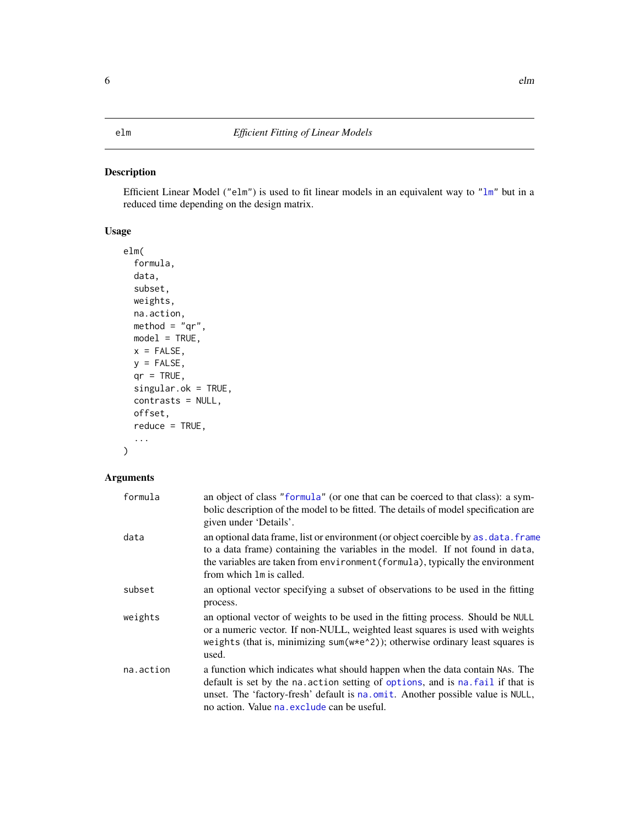#### <span id="page-5-0"></span>Description

Efficient Linear Model ("elm") is used to fit linear models in an equivalent way to ["lm"](#page-0-0) but in a reduced time depending on the design matrix.

#### Usage

```
elm(
  formula,
  data,
  subset,
 weights,
  na.action,
 method = "qr",model = TRUE,x = FALSE,
  y =FALSE,
  qr = TRUE,singular.ok = TRUE,
  contrasts = NULL,
  offset,
  reduce = TRUE,
  ...
)
```
#### Arguments

| formula   | an object of class "formula" (or one that can be coerced to that class): a sym-<br>bolic description of the model to be fitted. The details of model specification are<br>given under 'Details'.                                                                                                |
|-----------|-------------------------------------------------------------------------------------------------------------------------------------------------------------------------------------------------------------------------------------------------------------------------------------------------|
| data      | an optional data frame, list or environment (or object coercible by as . data. frame<br>to a data frame) containing the variables in the model. If not found in data,<br>the variables are taken from environment (formula), typically the environment<br>from which 1m is called.              |
| subset    | an optional vector specifying a subset of observations to be used in the fitting<br>process.                                                                                                                                                                                                    |
| weights   | an optional vector of weights to be used in the fitting process. Should be NULL<br>or a numeric vector. If non-NULL, weighted least squares is used with weights<br>weights (that is, minimizing sum( $w*e^2$ )); otherwise ordinary least squares is<br>used.                                  |
| na.action | a function which indicates what should happen when the data contain NAs. The<br>default is set by the na. action setting of options, and is na. fail if that is<br>unset. The 'factory-fresh' default is na.omit. Another possible value is NULL,<br>no action. Value na exclude can be useful. |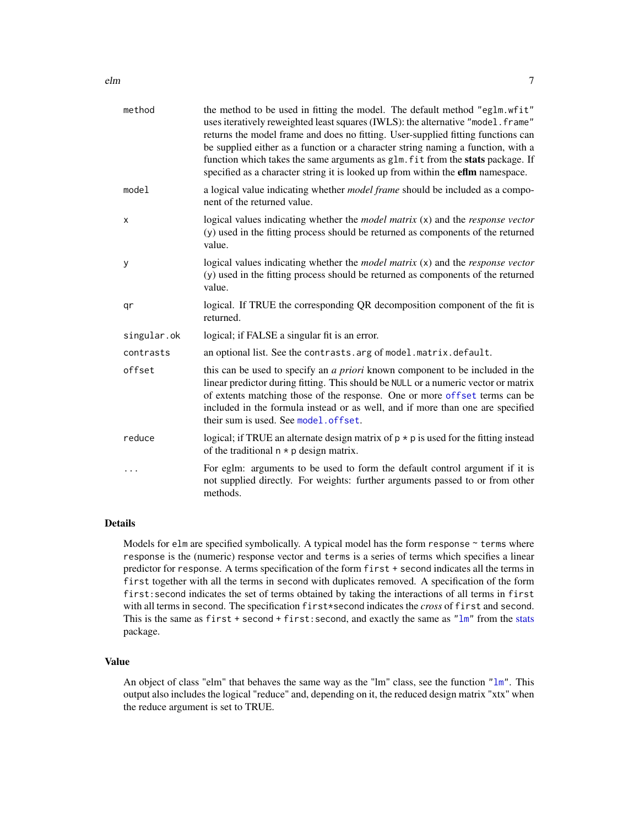<span id="page-6-0"></span>

| method      | the method to be used in fitting the model. The default method "eglm.wfit"<br>uses iteratively reweighted least squares (IWLS): the alternative "model. frame"<br>returns the model frame and does no fitting. User-supplied fitting functions can<br>be supplied either as a function or a character string naming a function, with a<br>function which takes the same arguments as glm. fit from the stats package. If<br>specified as a character string it is looked up from within the eflm namespace. |
|-------------|-------------------------------------------------------------------------------------------------------------------------------------------------------------------------------------------------------------------------------------------------------------------------------------------------------------------------------------------------------------------------------------------------------------------------------------------------------------------------------------------------------------|
| model       | a logical value indicating whether <i>model frame</i> should be included as a compo-<br>nent of the returned value.                                                                                                                                                                                                                                                                                                                                                                                         |
| X           | logical values indicating whether the <i>model matrix</i> (x) and the <i>response vector</i><br>(y) used in the fitting process should be returned as components of the returned<br>value.                                                                                                                                                                                                                                                                                                                  |
| У           | logical values indicating whether the <i>model matrix</i> (x) and the <i>response vector</i><br>(y) used in the fitting process should be returned as components of the returned<br>value.                                                                                                                                                                                                                                                                                                                  |
| qr          | logical. If TRUE the corresponding QR decomposition component of the fit is<br>returned.                                                                                                                                                                                                                                                                                                                                                                                                                    |
| singular.ok | logical; if FALSE a singular fit is an error.                                                                                                                                                                                                                                                                                                                                                                                                                                                               |
| contrasts   | an optional list. See the contrasts. arg of model. matrix. default.                                                                                                                                                                                                                                                                                                                                                                                                                                         |
| offset      | this can be used to specify an <i>a priori</i> known component to be included in the<br>linear predictor during fitting. This should be NULL or a numeric vector or matrix<br>of extents matching those of the response. One or more offset terms can be<br>included in the formula instead or as well, and if more than one are specified<br>their sum is used. See model. offset.                                                                                                                         |
| reduce      | logical; if TRUE an alternate design matrix of $p * p$ is used for the fitting instead<br>of the traditional $n * p$ design matrix.                                                                                                                                                                                                                                                                                                                                                                         |
| .           | For eglm: arguments to be used to form the default control argument if it is<br>not supplied directly. For weights: further arguments passed to or from other<br>methods.                                                                                                                                                                                                                                                                                                                                   |

#### Details

Models for elm are specified symbolically. A typical model has the form response  $\sim$  terms where response is the (numeric) response vector and terms is a series of terms which specifies a linear predictor for response. A terms specification of the form first + second indicates all the terms in first together with all the terms in second with duplicates removed. A specification of the form first:second indicates the set of terms obtained by taking the interactions of all terms in first with all terms in second. The specification first\*second indicates the *cross* of first and second. This is the same as  $first + second + first: second, and exactly the same as "lm" from the stats$  $first + second + first: second, and exactly the same as "lm" from the stats$  $first + second + first: second, and exactly the same as "lm" from the stats$  $first + second + first: second, and exactly the same as "lm" from the stats$ package.

#### Value

An object of class "elm" that behaves the same way as the "lm" class, see the function ["lm"](#page-0-0). This output also includes the logical "reduce" and, depending on it, the reduced design matrix "xtx" when the reduce argument is set to TRUE.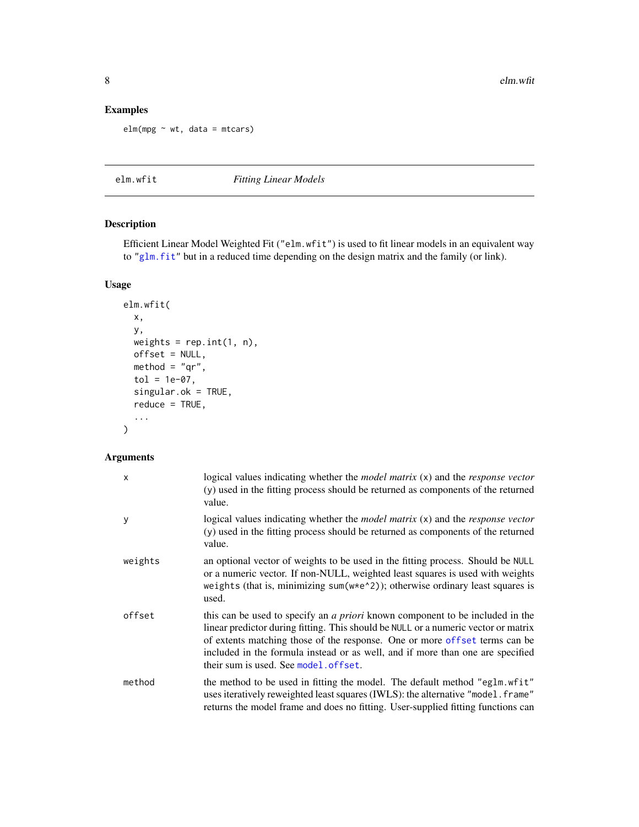#### <span id="page-7-0"></span>Examples

 $elm(mpg \sim wt, data = mtcars)$ 

elm.wfit *Fitting Linear Models*

#### Description

Efficient Linear Model Weighted Fit ("elm.wfit") is used to fit linear models in an equivalent way to ["glm.fit"](#page-0-0) but in a reduced time depending on the design matrix and the family (or link).

#### Usage

```
elm.wfit(
 x,
 y,
 weights = rep.int(1, n),
 offset = NULL,
 method = "qr",tol = 1e-07,singular.ok = TRUE,
  reduce = TRUE,
  ...
)
```
#### Arguments

| X       | logical values indicating whether the <i>model matrix</i> $(x)$ and the <i>response vector</i><br>(y) used in the fitting process should be returned as components of the returned<br>value.                                                                                                                                                                                        |
|---------|-------------------------------------------------------------------------------------------------------------------------------------------------------------------------------------------------------------------------------------------------------------------------------------------------------------------------------------------------------------------------------------|
| y       | logical values indicating whether the <i>model matrix</i> $(x)$ and the <i>response vector</i><br>(y) used in the fitting process should be returned as components of the returned<br>value.                                                                                                                                                                                        |
| weights | an optional vector of weights to be used in the fitting process. Should be NULL<br>or a numeric vector. If non-NULL, weighted least squares is used with weights<br>weights (that is, minimizing sum( $w*e^2$ )); otherwise ordinary least squares is<br>used.                                                                                                                      |
| offset  | this can be used to specify an <i>a priori</i> known component to be included in the<br>linear predictor during fitting. This should be NULL or a numeric vector or matrix<br>of extents matching those of the response. One or more offset terms can be<br>included in the formula instead or as well, and if more than one are specified<br>their sum is used. See model. offset. |
| method  | the method to be used in fitting the model. The default method "eglm.wfit"<br>uses iteratively reweighted least squares (IWLS): the alternative "model. frame"<br>returns the model frame and does no fitting. User-supplied fitting functions can                                                                                                                                  |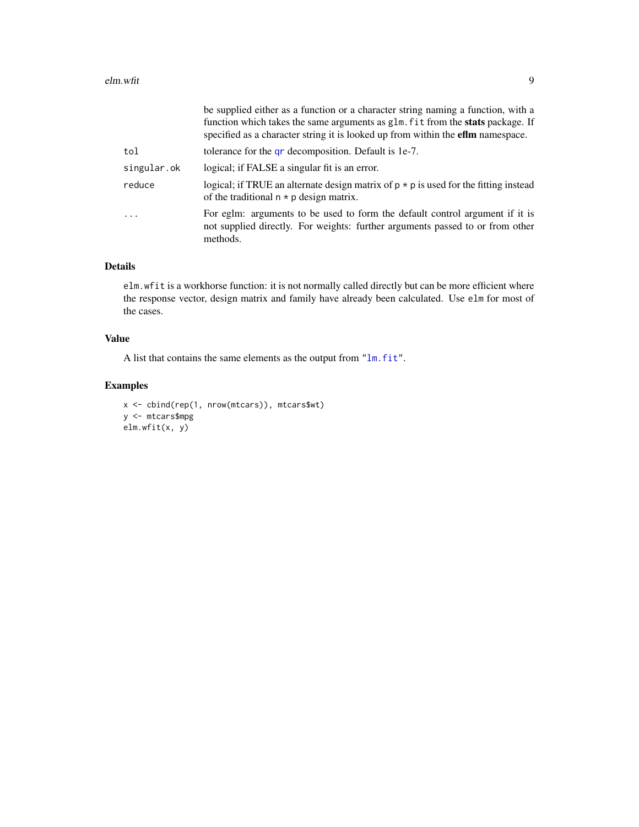<span id="page-8-0"></span>

|             | be supplied either as a function or a character string naming a function, with a<br>function which takes the same arguments as glm. fit from the <b>stats</b> package. If<br>specified as a character string it is looked up from within the <b>efim</b> namespace. |
|-------------|---------------------------------------------------------------------------------------------------------------------------------------------------------------------------------------------------------------------------------------------------------------------|
| tol         | tolerance for the <b>gr</b> decomposition. Default is 1e-7.                                                                                                                                                                                                         |
| singular.ok | logical; if FALSE a singular fit is an error.                                                                                                                                                                                                                       |
| reduce      | logical; if TRUE an alternate design matrix of $p * p$ is used for the fitting instead<br>of the traditional $n * p$ design matrix.                                                                                                                                 |
| $\cdots$    | For eglm: arguments to be used to form the default control argument if it is<br>not supplied directly. For weights: further arguments passed to or from other<br>methods.                                                                                           |
|             |                                                                                                                                                                                                                                                                     |

#### Details

elm.wfit is a workhorse function: it is not normally called directly but can be more efficient where the response vector, design matrix and family have already been calculated. Use elm for most of the cases.

#### Value

A list that contains the same elements as the output from ["lm.fit"](#page-0-0).

#### Examples

```
x <- cbind(rep(1, nrow(mtcars)), mtcars$wt)
y <- mtcars$mpg
elm.wfit(x, y)
```